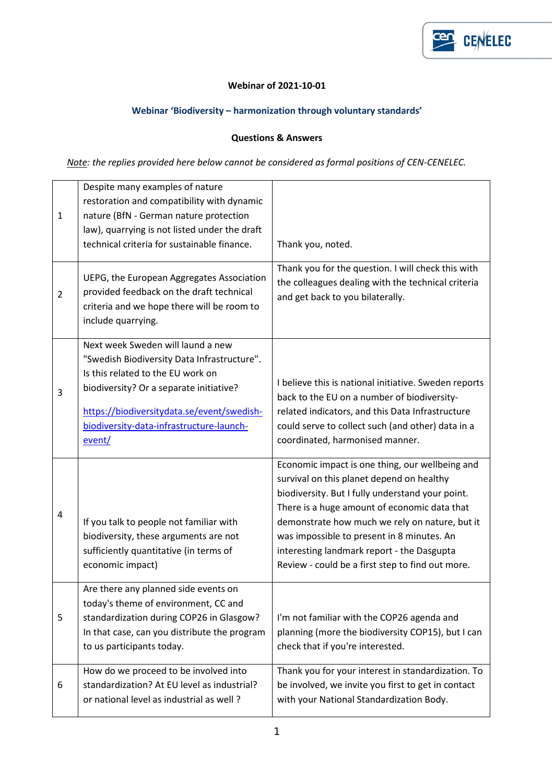

## **Webinar of 2021-10-01**

## **Webinar 'Biodiversity – harmonization through voluntary standards'**

## **Questions & Answers**

*Note: the replies provided here below cannot be considered as formal positions of CEN-CENELEC.*

| $\mathbf{1}$   | Despite many examples of nature<br>restoration and compatibility with dynamic<br>nature (BfN - German nature protection<br>law), quarrying is not listed under the draft<br>technical criteria for sustainable finance.                                              | Thank you, noted.                                                                                                                                                                                                                                                                                                                                                                                  |
|----------------|----------------------------------------------------------------------------------------------------------------------------------------------------------------------------------------------------------------------------------------------------------------------|----------------------------------------------------------------------------------------------------------------------------------------------------------------------------------------------------------------------------------------------------------------------------------------------------------------------------------------------------------------------------------------------------|
| $\overline{2}$ | UEPG, the European Aggregates Association<br>provided feedback on the draft technical<br>criteria and we hope there will be room to<br>include quarrying.                                                                                                            | Thank you for the question. I will check this with<br>the colleagues dealing with the technical criteria<br>and get back to you bilaterally.                                                                                                                                                                                                                                                       |
| 3              | Next week Sweden will laund a new<br>"Swedish Biodiversity Data Infrastructure".<br>Is this related to the EU work on<br>biodiversity? Or a separate initiative?<br>https://biodiversitydata.se/event/swedish-<br>biodiversity-data-infrastructure-launch-<br>event/ | I believe this is national initiative. Sweden reports<br>back to the EU on a number of biodiversity-<br>related indicators, and this Data Infrastructure<br>could serve to collect such (and other) data in a<br>coordinated, harmonised manner.                                                                                                                                                   |
| $\overline{4}$ | If you talk to people not familiar with<br>biodiversity, these arguments are not<br>sufficiently quantitative (in terms of<br>economic impact)                                                                                                                       | Economic impact is one thing, our wellbeing and<br>survival on this planet depend on healthy<br>biodiversity. But I fully understand your point.<br>There is a huge amount of economic data that<br>demonstrate how much we rely on nature, but it<br>was impossible to present in 8 minutes. An<br>interesting landmark report - the Dasgupta<br>Review - could be a first step to find out more. |
| 5              | Are there any planned side events on<br>today's theme of environment, CC and<br>standardization during COP26 in Glasgow?<br>In that case, can you distribute the program<br>to us participants today.                                                                | I'm not familiar with the COP26 agenda and<br>planning (more the biodiversity COP15), but I can<br>check that if you're interested.                                                                                                                                                                                                                                                                |
| 6              | How do we proceed to be involved into<br>standardization? At EU level as industrial?<br>or national level as industrial as well?                                                                                                                                     | Thank you for your interest in standardization. To<br>be involved, we invite you first to get in contact<br>with your National Standardization Body.                                                                                                                                                                                                                                               |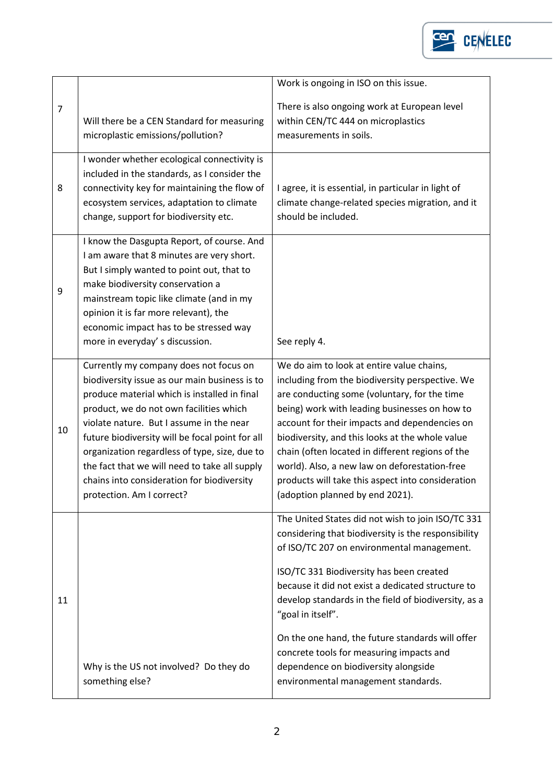

|                |                                                                                                                                                                                                                                                                                                                                                                                                                                                                | Work is ongoing in ISO on this issue.                                                                                                                                                                                                                                                                                                                                                                                                                                                                               |
|----------------|----------------------------------------------------------------------------------------------------------------------------------------------------------------------------------------------------------------------------------------------------------------------------------------------------------------------------------------------------------------------------------------------------------------------------------------------------------------|---------------------------------------------------------------------------------------------------------------------------------------------------------------------------------------------------------------------------------------------------------------------------------------------------------------------------------------------------------------------------------------------------------------------------------------------------------------------------------------------------------------------|
| $\overline{7}$ | Will there be a CEN Standard for measuring<br>microplastic emissions/pollution?                                                                                                                                                                                                                                                                                                                                                                                | There is also ongoing work at European level<br>within CEN/TC 444 on microplastics<br>measurements in soils.                                                                                                                                                                                                                                                                                                                                                                                                        |
| 8              | I wonder whether ecological connectivity is<br>included in the standards, as I consider the<br>connectivity key for maintaining the flow of<br>ecosystem services, adaptation to climate<br>change, support for biodiversity etc.                                                                                                                                                                                                                              | I agree, it is essential, in particular in light of<br>climate change-related species migration, and it<br>should be included.                                                                                                                                                                                                                                                                                                                                                                                      |
| 9              | I know the Dasgupta Report, of course. And<br>I am aware that 8 minutes are very short.<br>But I simply wanted to point out, that to<br>make biodiversity conservation a<br>mainstream topic like climate (and in my<br>opinion it is far more relevant), the<br>economic impact has to be stressed way<br>more in everyday's discussion.                                                                                                                      | See reply 4.                                                                                                                                                                                                                                                                                                                                                                                                                                                                                                        |
| 10             | Currently my company does not focus on<br>biodiversity issue as our main business is to<br>produce material which is installed in final<br>product, we do not own facilities which<br>violate nature. But I assume in the near<br>future biodiversity will be focal point for all<br>organization regardless of type, size, due to<br>the fact that we will need to take all supply<br>chains into consideration for biodiversity<br>protection. Am I correct? | We do aim to look at entire value chains,<br>including from the biodiversity perspective. We<br>are conducting some (voluntary, for the time<br>being) work with leading businesses on how to<br>account for their impacts and dependencies on<br>biodiversity, and this looks at the whole value<br>chain (often located in different regions of the<br>world). Also, a new law on deforestation-free<br>products will take this aspect into consideration<br>(adoption planned by end 2021).                      |
| 11             | Why is the US not involved? Do they do<br>something else?                                                                                                                                                                                                                                                                                                                                                                                                      | The United States did not wish to join ISO/TC 331<br>considering that biodiversity is the responsibility<br>of ISO/TC 207 on environmental management.<br>ISO/TC 331 Biodiversity has been created<br>because it did not exist a dedicated structure to<br>develop standards in the field of biodiversity, as a<br>"goal in itself".<br>On the one hand, the future standards will offer<br>concrete tools for measuring impacts and<br>dependence on biodiversity alongside<br>environmental management standards. |